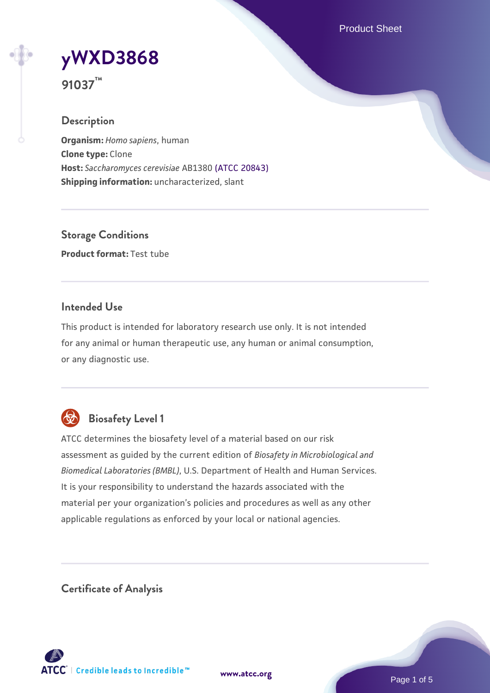Product Sheet

# **[yWXD3868](https://www.atcc.org/products/91037)**

**91037™**

## **Description**

**Organism:** *Homo sapiens*, human **Clone type:** Clone **Host:** *Saccharomyces cerevisiae* AB1380 [\(ATCC 20843\)](https://www.atcc.org/products/20843) **Shipping information:** uncharacterized, slant

**Storage Conditions Product format:** Test tube

## **Intended Use**

This product is intended for laboratory research use only. It is not intended for any animal or human therapeutic use, any human or animal consumption, or any diagnostic use.



## **Biosafety Level 1**

ATCC determines the biosafety level of a material based on our risk assessment as guided by the current edition of *Biosafety in Microbiological and Biomedical Laboratories (BMBL)*, U.S. Department of Health and Human Services. It is your responsibility to understand the hazards associated with the material per your organization's policies and procedures as well as any other applicable regulations as enforced by your local or national agencies.

**Certificate of Analysis**

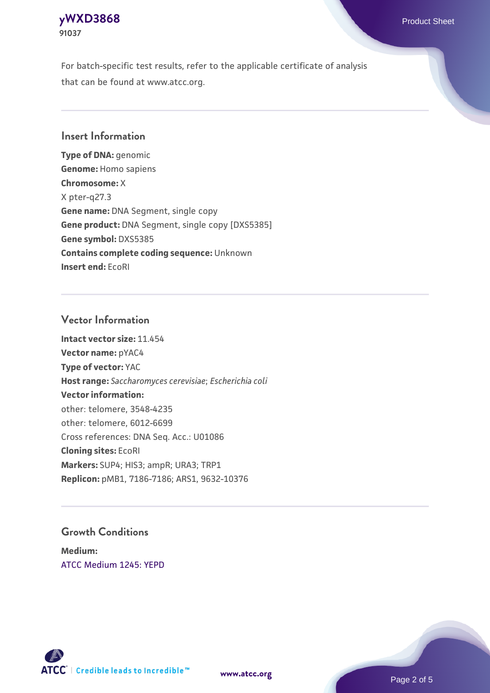## **[yWXD3868](https://www.atcc.org/products/91037)** Product Sheet **91037**

For batch-specific test results, refer to the applicable certificate of analysis that can be found at www.atcc.org.

## **Insert Information**

**Type of DNA:** genomic **Genome:** Homo sapiens **Chromosome:** X X pter-q27.3 **Gene name:** DNA Segment, single copy **Gene product:** DNA Segment, single copy [DXS5385] **Gene symbol:** DXS5385 **Contains complete coding sequence:** Unknown **Insert end:** EcoRI

## **Vector Information**

**Intact vector size:** 11.454 **Vector name:** pYAC4 **Type of vector:** YAC **Host range:** *Saccharomyces cerevisiae*; *Escherichia coli* **Vector information:** other: telomere, 3548-4235 other: telomere, 6012-6699 Cross references: DNA Seq. Acc.: U01086 **Cloning sites:** EcoRI **Markers:** SUP4; HIS3; ampR; URA3; TRP1 **Replicon:** pMB1, 7186-7186; ARS1, 9632-10376

## **Growth Conditions**

**Medium:**  [ATCC Medium 1245: YEPD](https://www.atcc.org/-/media/product-assets/documents/microbial-media-formulations/1/2/4/5/atcc-medium-1245.pdf?rev=705ca55d1b6f490a808a965d5c072196)



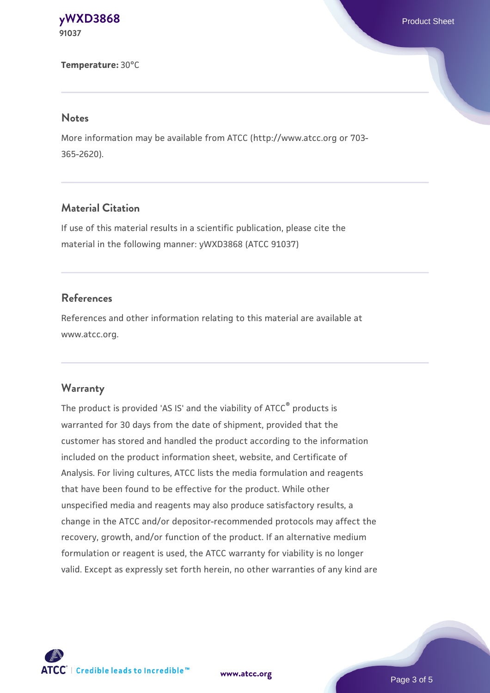**[yWXD3868](https://www.atcc.org/products/91037)** Product Sheet **91037**

**Temperature:** 30°C

#### **Notes**

More information may be available from ATCC (http://www.atcc.org or 703- 365-2620).

## **Material Citation**

If use of this material results in a scientific publication, please cite the material in the following manner: yWXD3868 (ATCC 91037)

## **References**

References and other information relating to this material are available at www.atcc.org.

#### **Warranty**

The product is provided 'AS IS' and the viability of ATCC® products is warranted for 30 days from the date of shipment, provided that the customer has stored and handled the product according to the information included on the product information sheet, website, and Certificate of Analysis. For living cultures, ATCC lists the media formulation and reagents that have been found to be effective for the product. While other unspecified media and reagents may also produce satisfactory results, a change in the ATCC and/or depositor-recommended protocols may affect the recovery, growth, and/or function of the product. If an alternative medium formulation or reagent is used, the ATCC warranty for viability is no longer valid. Except as expressly set forth herein, no other warranties of any kind are



**[www.atcc.org](http://www.atcc.org)**

Page 3 of 5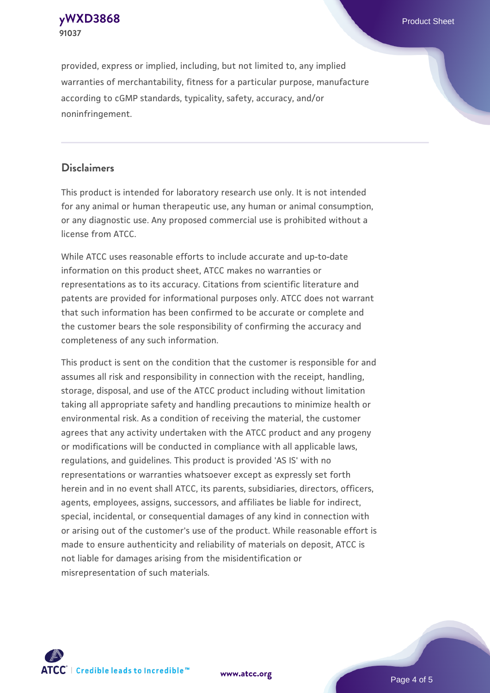**[yWXD3868](https://www.atcc.org/products/91037)** Product Sheet **91037**

provided, express or implied, including, but not limited to, any implied warranties of merchantability, fitness for a particular purpose, manufacture according to cGMP standards, typicality, safety, accuracy, and/or noninfringement.

## **Disclaimers**

This product is intended for laboratory research use only. It is not intended for any animal or human therapeutic use, any human or animal consumption, or any diagnostic use. Any proposed commercial use is prohibited without a license from ATCC.

While ATCC uses reasonable efforts to include accurate and up-to-date information on this product sheet, ATCC makes no warranties or representations as to its accuracy. Citations from scientific literature and patents are provided for informational purposes only. ATCC does not warrant that such information has been confirmed to be accurate or complete and the customer bears the sole responsibility of confirming the accuracy and completeness of any such information.

This product is sent on the condition that the customer is responsible for and assumes all risk and responsibility in connection with the receipt, handling, storage, disposal, and use of the ATCC product including without limitation taking all appropriate safety and handling precautions to minimize health or environmental risk. As a condition of receiving the material, the customer agrees that any activity undertaken with the ATCC product and any progeny or modifications will be conducted in compliance with all applicable laws, regulations, and guidelines. This product is provided 'AS IS' with no representations or warranties whatsoever except as expressly set forth herein and in no event shall ATCC, its parents, subsidiaries, directors, officers, agents, employees, assigns, successors, and affiliates be liable for indirect, special, incidental, or consequential damages of any kind in connection with or arising out of the customer's use of the product. While reasonable effort is made to ensure authenticity and reliability of materials on deposit, ATCC is not liable for damages arising from the misidentification or misrepresentation of such materials.



**[www.atcc.org](http://www.atcc.org)**

Page 4 of 5